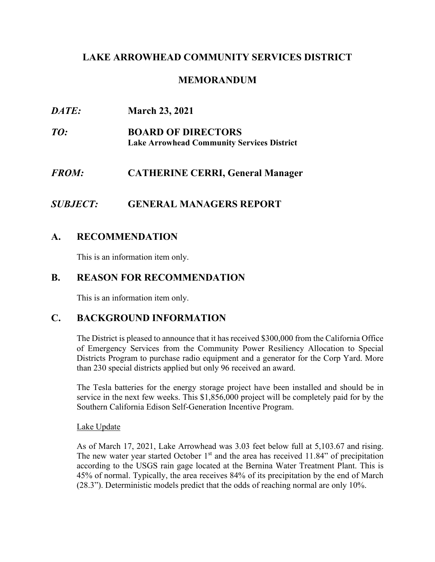## **LAKE ARROWHEAD COMMUNITY SERVICES DISTRICT**

## **MEMORANDUM**

*DATE:* **March 23, 2021** *TO:* **BOARD OF DIRECTORS Lake Arrowhead Community Services District** *FROM:* **CATHERINE CERRI, General Manager**

## *SUBJECT:* **GENERAL MANAGERS REPORT**

## **A. RECOMMENDATION**

This is an information item only.

### **B. REASON FOR RECOMMENDATION**

This is an information item only.

## **C. BACKGROUND INFORMATION**

The District is pleased to announce that it has received \$300,000 from the California Office of Emergency Services from the Community Power Resiliency Allocation to Special Districts Program to purchase radio equipment and a generator for the Corp Yard. More than 230 special districts applied but only 96 received an award.

The Tesla batteries for the energy storage project have been installed and should be in service in the next few weeks. This \$1,856,000 project will be completely paid for by the Southern California Edison Self-Generation Incentive Program.

#### Lake Update

As of March 17, 2021, Lake Arrowhead was 3.03 feet below full at 5,103.67 and rising. The new water year started October  $1<sup>st</sup>$  and the area has received 11.84" of precipitation according to the USGS rain gage located at the Bernina Water Treatment Plant. This is 45% of normal. Typically, the area receives 84% of its precipitation by the end of March (28.3"). Deterministic models predict that the odds of reaching normal are only 10%.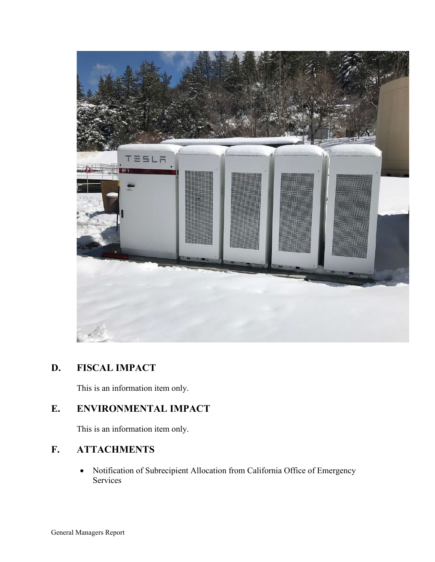

## **D. FISCAL IMPACT**

This is an information item only.

# **E. ENVIRONMENTAL IMPACT**

This is an information item only.

# **F. ATTACHMENTS**

• Notification of Subrecipient Allocation from California Office of Emergency Services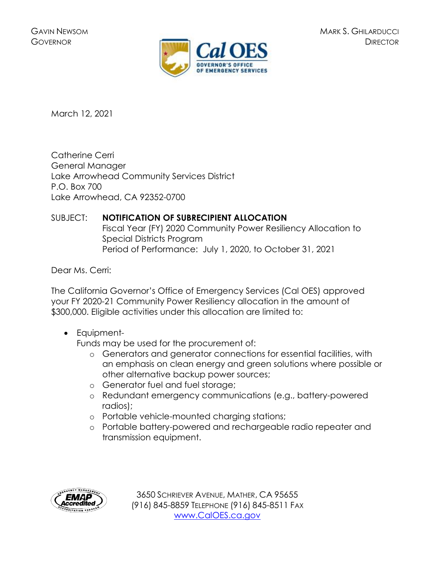

March 12, 2021

Catherine Cerri General Manager Lake Arrowhead Community Services District P.O. Box 700 Lake Arrowhead, CA 92352-0700

## SUBJECT: **NOTIFICATION OF SUBRECIPIENT ALLOCATION**

Fiscal Year (FY) 2020 Community Power Resiliency Allocation to Special Districts Program Period of Performance: July 1, 2020, to October 31, 2021

Dear Ms. Cerri:

The California Governor's Office of Emergency Services (Cal OES) approved your FY 2020-21 Community Power Resiliency allocation in the amount of \$300,000. Eligible activities under this allocation are limited to:

• Equipment-

Funds may be used for the procurement of:

- o Generators and generator connections for essential facilities, with an emphasis on clean energy and green solutions where possible or other alternative backup power sources;
- o Generator fuel and fuel storage;
- o Redundant emergency communications (e.g., battery-powered radios);
- o Portable vehicle-mounted charging stations;
- o Portable battery-powered and rechargeable radio repeater and transmission equipment.



3650 SCHRIEVER AVENUE, MATHER, CA 95655 (916) 845-8859 TELEPHONE (916) 845-8511 FAX [www.CalOES.ca.gov](http://www.caloes.ca.gov/)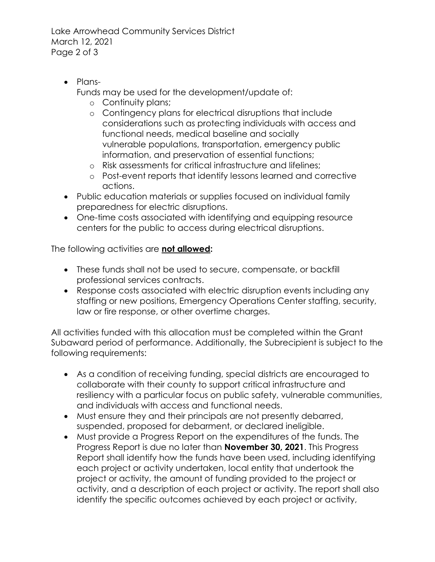Lake Arrowhead Community Services District March 12, 2021 Page 2 of 3

• Plans-

Funds may be used for the development/update of:

- o Continuity plans;
- o Contingency plans for electrical disruptions that include considerations such as protecting individuals with access and functional needs, medical baseline and socially vulnerable populations, transportation, emergency public information, and preservation of essential functions;
- o Risk assessments for critical infrastructure and lifelines;
- o Post-event reports that identify lessons learned and corrective actions.
- Public education materials or supplies focused on individual family preparedness for electric disruptions.
- One-time costs associated with identifying and equipping resource centers for the public to access during electrical disruptions.

The following activities are **not allowed:**

- These funds shall not be used to secure, compensate, or backfill professional services contracts.
- Response costs associated with electric disruption events including any staffing or new positions, Emergency Operations Center staffing, security, law or fire response, or other overtime charges.

All activities funded with this allocation must be completed within the Grant Subaward period of performance. Additionally, the Subrecipient is subject to the following requirements:

- As a condition of receiving funding, special districts are encouraged to collaborate with their county to support critical infrastructure and resiliency with a particular focus on public safety, vulnerable communities, and individuals with access and functional needs.
- Must ensure they and their principals are not presently debarred, suspended, proposed for debarment, or declared ineligible.
- Must provide a Progress Report on the expenditures of the funds. The Progress Report is due no later than **November 30, 2021**. This Progress Report shall identify how the funds have been used, including identifying each project or activity undertaken, local entity that undertook the project or activity, the amount of funding provided to the project or activity, and a description of each project or activity. The report shall also identify the specific outcomes achieved by each project or activity,